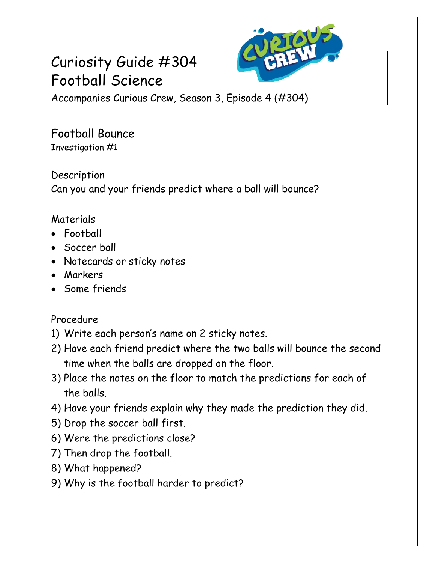## Curiosity Guide #304 Football Science



Accompanies Curious Crew, Season 3, Episode 4 (#304)

Football Bounce Investigation #1

Description Can you and your friends predict where a ball will bounce?

## Materials

- Football
- Soccer ball
- Notecards or sticky notes
- Markers
- Some friends

## Procedure

- 1) Write each person's name on 2 sticky notes.
- 2) Have each friend predict where the two balls will bounce the second time when the balls are dropped on the floor.
- 3) Place the notes on the floor to match the predictions for each of the balls.
- 4) Have your friends explain why they made the prediction they did.
- 5) Drop the soccer ball first.
- 6) Were the predictions close?
- 7) Then drop the football.
- 8) What happened?
- 9) Why is the football harder to predict?